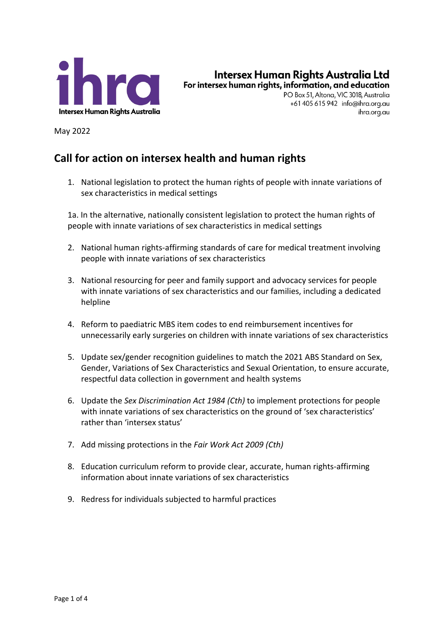

Intersex Human Rights Australia Ltd For intersex human rights, information, and education

> PO Box 51, Altona, VIC 3018, Australia +61 405 615 942 info@ihra.org.au ihra.org.au

May 2022

## **Call for action on intersex health and human rights**

1. National legislation to protect the human rights of people with innate variations of sex characteristics in medical settings

1a. In the alternative, nationally consistent legislation to protect the human rights of people with innate variations of sex characteristics in medical settings

- 2. National human rights-affirming standards of care for medical treatment involving people with innate variations of sex characteristics
- 3. National resourcing for peer and family support and advocacy services for people with innate variations of sex characteristics and our families, including a dedicated helpline
- 4. Reform to paediatric MBS item codes to end reimbursement incentives for unnecessarily early surgeries on children with innate variations of sex characteristics
- 5. Update sex/gender recognition guidelines to match the 2021 ABS Standard on Sex, Gender, Variations of Sex Characteristics and Sexual Orientation, to ensure accurate, respectful data collection in government and health systems
- 6. Update the *Sex Discrimination Act 1984 (Cth)* to implement protections for people with innate variations of sex characteristics on the ground of 'sex characteristics' rather than 'intersex status'
- 7. Add missing protections in the *Fair Work Act 2009 (Cth)*
- 8. Education curriculum reform to provide clear, accurate, human rights-affirming information about innate variations of sex characteristics
- 9. Redress for individuals subjected to harmful practices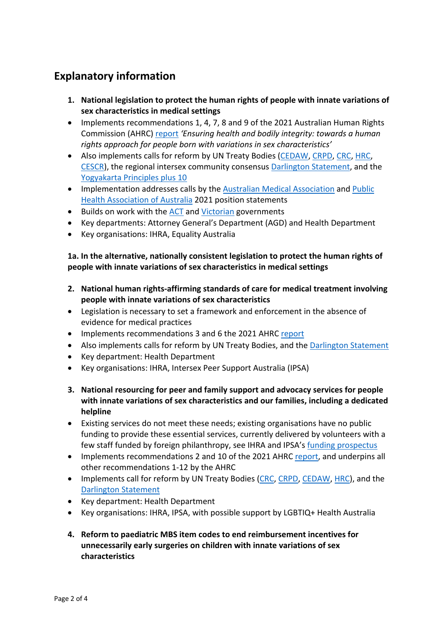## **Explanatory information**

- **1. National legislation to protect the human rights of people with innate variations of sex characteristics in medical settings**
- Implements recommendations 1, 4, 7, 8 and 9 of the 2021 Australian Human Rights Commission (AHRC) report *'Ensuring health and bodily integrity: towards a human rights approach for people born with variations in sex characteristics'*
- Also implements calls for reform by UN Treaty Bodies (CEDAW, CRPD, CRC, HRC, CESCR), the regional intersex community consensus Darlington Statement, and the Yogyakarta Principles plus 10
- Implementation addresses calls by the Australian Medical Association and Public Health Association of Australia 2021 position statements
- Builds on work with the ACT and Victorian governments
- Key departments: Attorney General's Department (AGD) and Health Department
- Key organisations: IHRA, Equality Australia

## **1a. In the alternative, nationally consistent legislation to protect the human rights of people with innate variations of sex characteristics in medical settings**

- **2. National human rights-affirming standards of care for medical treatment involving people with innate variations of sex characteristics**
- Legislation is necessary to set a framework and enforcement in the absence of evidence for medical practices
- Implements recommendations 3 and 6 the 2021 AHRC report
- Also implements calls for reform by UN Treaty Bodies, and the Darlington Statement
- Key department: Health Department
- Key organisations: IHRA, Intersex Peer Support Australia (IPSA)
- **3. National resourcing for peer and family support and advocacy services for people with innate variations of sex characteristics and our families, including a dedicated helpline**
- Existing services do not meet these needs; existing organisations have no public funding to provide these essential services, currently delivered by volunteers with a few staff funded by foreign philanthropy, see IHRA and IPSA's funding prospectus
- Implements recommendations 2 and 10 of the 2021 AHRC report, and underpins all other recommendations 1-12 by the AHRC
- Implements call for reform by UN Treaty Bodies (CRC, CRPD, CEDAW, HRC), and the Darlington Statement
- Key department: Health Department
- Key organisations: IHRA, IPSA, with possible support by LGBTIQ+ Health Australia
- **4. Reform to paediatric MBS item codes to end reimbursement incentives for unnecessarily early surgeries on children with innate variations of sex characteristics**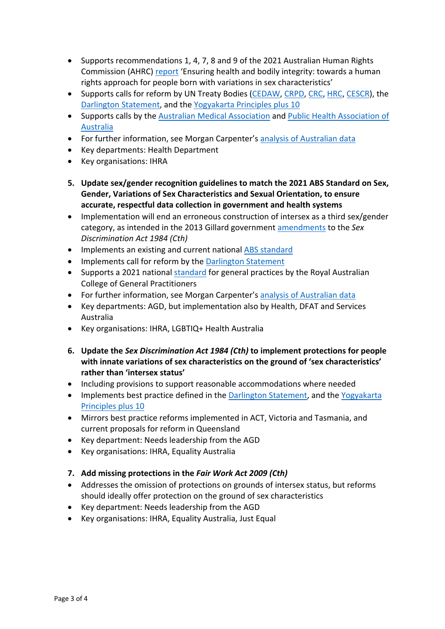- Supports recommendations 1, 4, 7, 8 and 9 of the 2021 Australian Human Rights Commission (AHRC) report 'Ensuring health and bodily integrity: towards a human rights approach for people born with variations in sex characteristics'
- Supports calls for reform by UN Treaty Bodies (CEDAW, CRPD, CRC, HRC, CESCR), the Darlington Statement, and the Yogyakarta Principles plus 10
- Supports calls by the Australian Medical Association and Public Health Association of Australia
- For further information, see Morgan Carpenter's analysis of Australian data
- Key departments: Health Department
- Key organisations: IHRA
- **5. Update sex/gender recognition guidelines to match the 2021 ABS Standard on Sex, Gender, Variations of Sex Characteristics and Sexual Orientation, to ensure accurate, respectful data collection in government and health systems**
- Implementation will end an erroneous construction of intersex as a third sex/gender category, as intended in the 2013 Gillard government amendments to the *Sex Discrimination Act 1984 (Cth)*
- Implements an existing and current national ABS standard
- Implements call for reform by the Darlington Statement
- Supports a 2021 national standard for general practices by the Royal Australian College of General Practitioners
- For further information, see Morgan Carpenter's analysis of Australian data
- Key departments: AGD, but implementation also by Health, DFAT and Services Australia
- Key organisations: IHRA, LGBTIQ+ Health Australia
- **6. Update the** *Sex Discrimination Act 1984 (Cth)* **to implement protections for people with innate variations of sex characteristics on the ground of 'sex characteristics' rather than 'intersex status'**
- Including provisions to support reasonable accommodations where needed
- Implements best practice defined in the Darlington Statement, and the Yogyakarta Principles plus 10
- Mirrors best practice reforms implemented in ACT, Victoria and Tasmania, and current proposals for reform in Queensland
- Key department: Needs leadership from the AGD
- Key organisations: IHRA, Equality Australia
- **7. Add missing protections in the** *Fair Work Act 2009 (Cth)*
- Addresses the omission of protections on grounds of intersex status, but reforms should ideally offer protection on the ground of sex characteristics
- Key department: Needs leadership from the AGD
- Key organisations: IHRA, Equality Australia, Just Equal